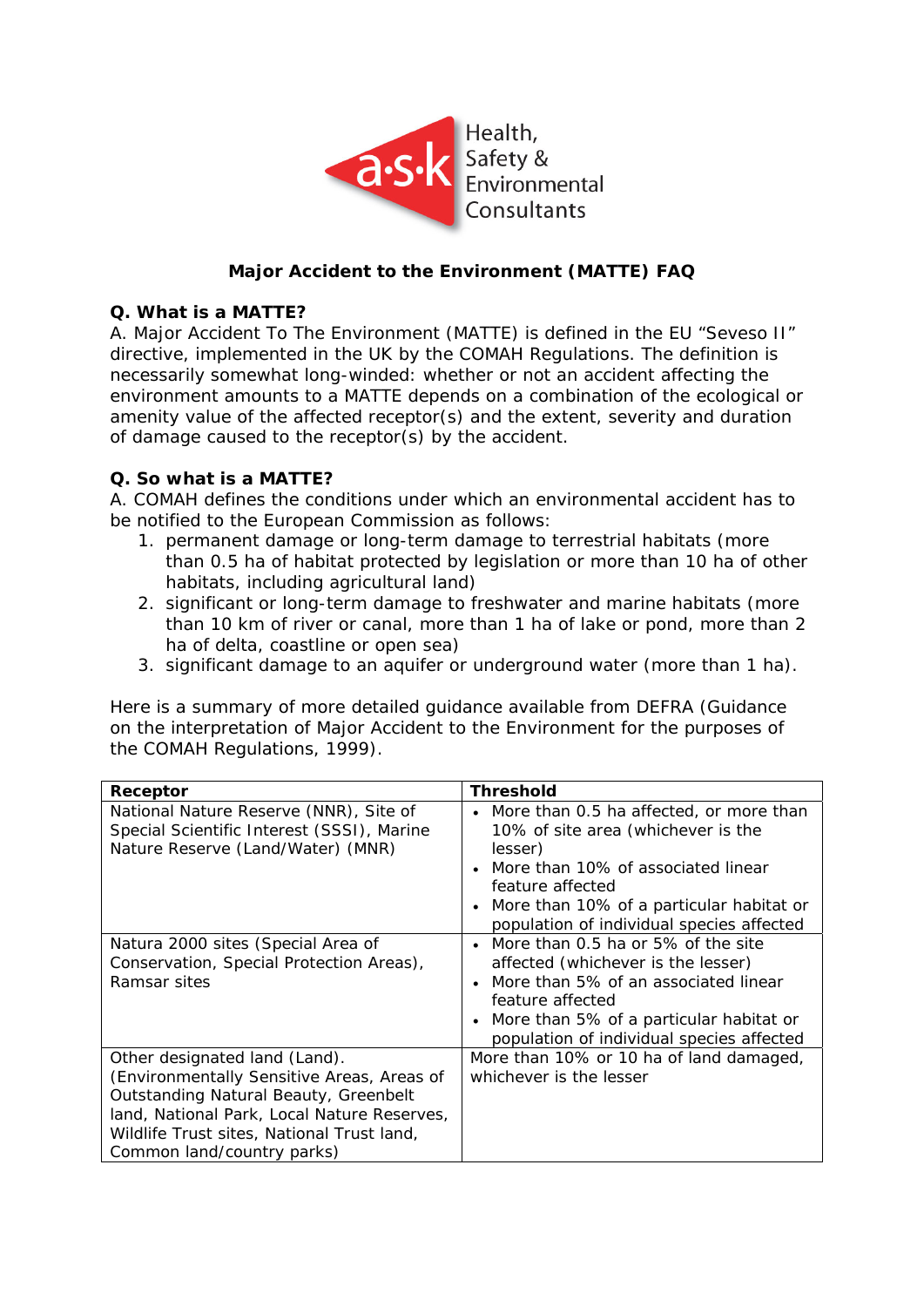

# **Major Accident to the Environment (MATTE) FAQ**

#### **Q. What is a MATTE?**

A. Major Accident To The Environment (MATTE) is defined in the EU "Seveso II" directive, implemented in the UK by the COMAH Regulations. The definition is necessarily somewhat long-winded: whether or not an accident affecting the environment amounts to a MATTE depends on a combination of the ecological or amenity value of the affected receptor(s) *and* the extent, severity and duration of damage caused to the receptor(s) by the accident.

#### **Q. So what** *is* **a MATTE?**

A. COMAH defines the conditions under which an environmental accident has to be notified to the European Commission as follows:

- 1. permanent damage or long-term damage to terrestrial habitats (more than 0.5 ha of habitat protected by legislation or more than 10 ha of other habitats, including agricultural land)
- 2. significant or long-term damage to freshwater and marine habitats (more than 10 km of river or canal, more than 1 ha of lake or pond, more than 2 ha of delta, coastline or open sea)
- 3. significant damage to an aquifer or underground water (more than 1 ha).

Here is a summary of more detailed guidance available from DEFRA (*Guidance on the interpretation of Major Accident to the Environment for the purposes of the COMAH Regulations*, 1999).

| Receptor                                                                                                                                                                                                                                        | <b>Threshold</b>                                                                                                                                                                                                                                                      |
|-------------------------------------------------------------------------------------------------------------------------------------------------------------------------------------------------------------------------------------------------|-----------------------------------------------------------------------------------------------------------------------------------------------------------------------------------------------------------------------------------------------------------------------|
| National Nature Reserve (NNR), Site of<br>Special Scientific Interest (SSSI), Marine<br>Nature Reserve (Land/Water) (MNR)                                                                                                                       | More than 0.5 ha affected, or more than<br>$\bullet$<br>10% of site area (whichever is the<br>lesser)<br>More than 10% of associated linear<br>feature affected<br>More than 10% of a particular habitat or<br>$\bullet$<br>population of individual species affected |
| Natura 2000 sites (Special Area of<br>Conservation, Special Protection Areas),<br>Ramsar sites                                                                                                                                                  | More than 0.5 ha or 5% of the site<br>affected (whichever is the lesser)<br>More than 5% of an associated linear<br>feature affected<br>More than 5% of a particular habitat or<br>$\bullet$<br>population of individual species affected                             |
| Other designated land (Land).<br>(Environmentally Sensitive Areas, Areas of<br>Outstanding Natural Beauty, Greenbelt<br>land, National Park, Local Nature Reserves,<br>Wildlife Trust sites, National Trust land,<br>Common land/country parks) | More than 10% or 10 ha of land damaged,<br>whichever is the lesser                                                                                                                                                                                                    |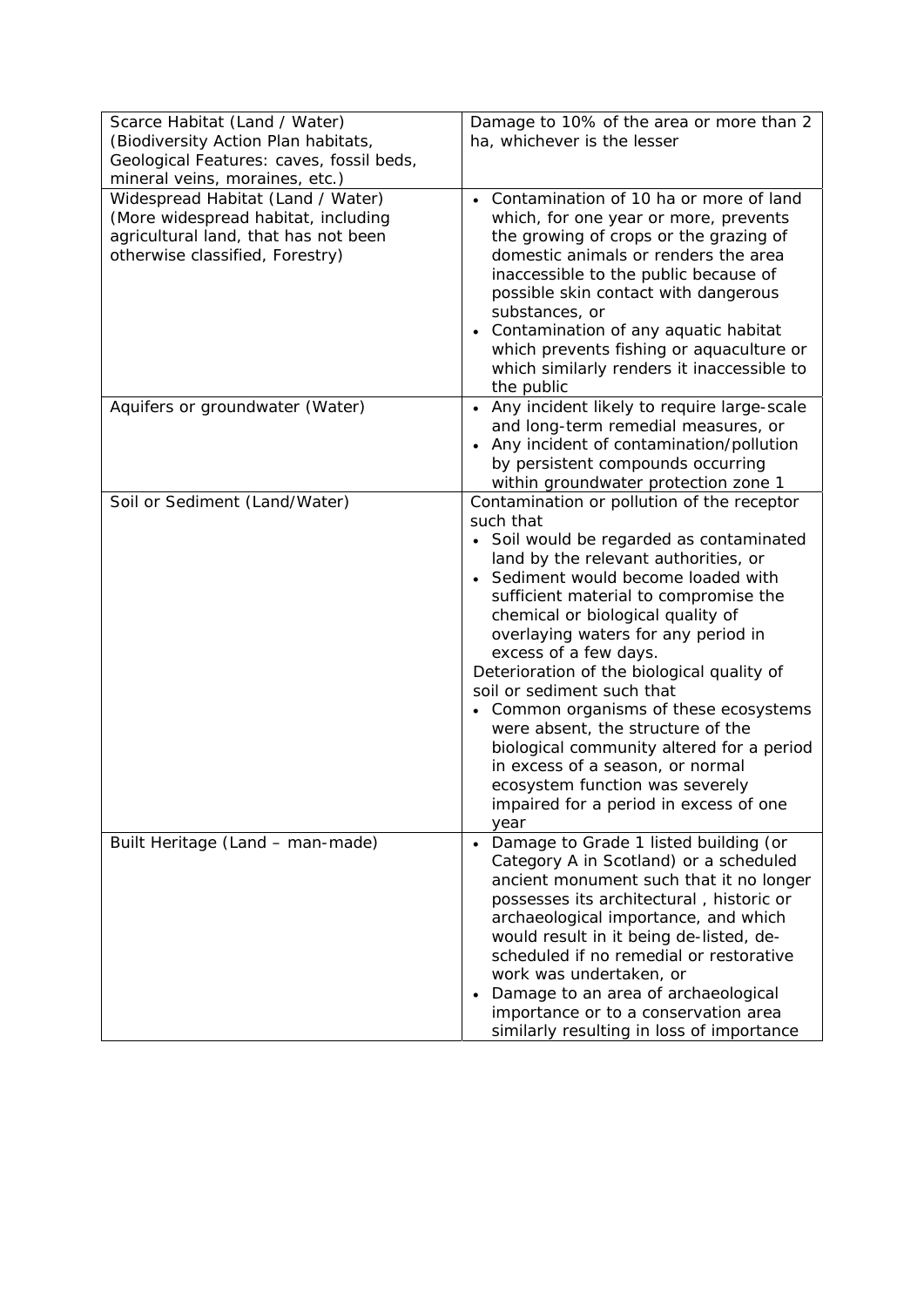| Scarce Habitat (Land / Water)                                                                                                                       | Damage to 10% of the area or more than 2                                                                                                                                                                                                                                                                                                                                                                                                                                                                                                                                                                                                                          |
|-----------------------------------------------------------------------------------------------------------------------------------------------------|-------------------------------------------------------------------------------------------------------------------------------------------------------------------------------------------------------------------------------------------------------------------------------------------------------------------------------------------------------------------------------------------------------------------------------------------------------------------------------------------------------------------------------------------------------------------------------------------------------------------------------------------------------------------|
| (Biodiversity Action Plan habitats,<br>Geological Features: caves, fossil beds,                                                                     | ha, whichever is the lesser                                                                                                                                                                                                                                                                                                                                                                                                                                                                                                                                                                                                                                       |
| mineral veins, moraines, etc.)                                                                                                                      |                                                                                                                                                                                                                                                                                                                                                                                                                                                                                                                                                                                                                                                                   |
| Widespread Habitat (Land / Water)<br>(More widespread habitat, including<br>agricultural land, that has not been<br>otherwise classified, Forestry) | Contamination of 10 ha or more of land<br>$\bullet$<br>which, for one year or more, prevents<br>the growing of crops or the grazing of<br>domestic animals or renders the area<br>inaccessible to the public because of<br>possible skin contact with dangerous<br>substances, or<br>Contamination of any aquatic habitat<br>$\bullet$<br>which prevents fishing or aquaculture or<br>which similarly renders it inaccessible to<br>the public                                                                                                                                                                                                                    |
| Aquifers or groundwater (Water)                                                                                                                     | Any incident likely to require large-scale<br>$\bullet$<br>and long-term remedial measures, or<br>Any incident of contamination/pollution<br>$\bullet$<br>by persistent compounds occurring<br>within groundwater protection zone 1                                                                                                                                                                                                                                                                                                                                                                                                                               |
| Soil or Sediment (Land/Water)                                                                                                                       | Contamination or pollution of the receptor<br>such that<br>• Soil would be regarded as contaminated<br>land by the relevant authorities, or<br>• Sediment would become loaded with<br>sufficient material to compromise the<br>chemical or biological quality of<br>overlaying waters for any period in<br>excess of a few days.<br>Deterioration of the biological quality of<br>soil or sediment such that<br>• Common organisms of these ecosystems<br>were absent, the structure of the<br>biological community altered for a period<br>in excess of a season, or normal<br>ecosystem function was severely<br>impaired for a period in excess of one<br>year |
| Built Heritage (Land - man-made)                                                                                                                    | Damage to Grade 1 listed building (or<br>Category A in Scotland) or a scheduled<br>ancient monument such that it no longer<br>possesses its architectural, historic or<br>archaeological importance, and which<br>would result in it being de-listed, de-<br>scheduled if no remedial or restorative<br>work was undertaken, or<br>Damage to an area of archaeological<br>$\bullet$<br>importance or to a conservation area<br>similarly resulting in loss of importance                                                                                                                                                                                          |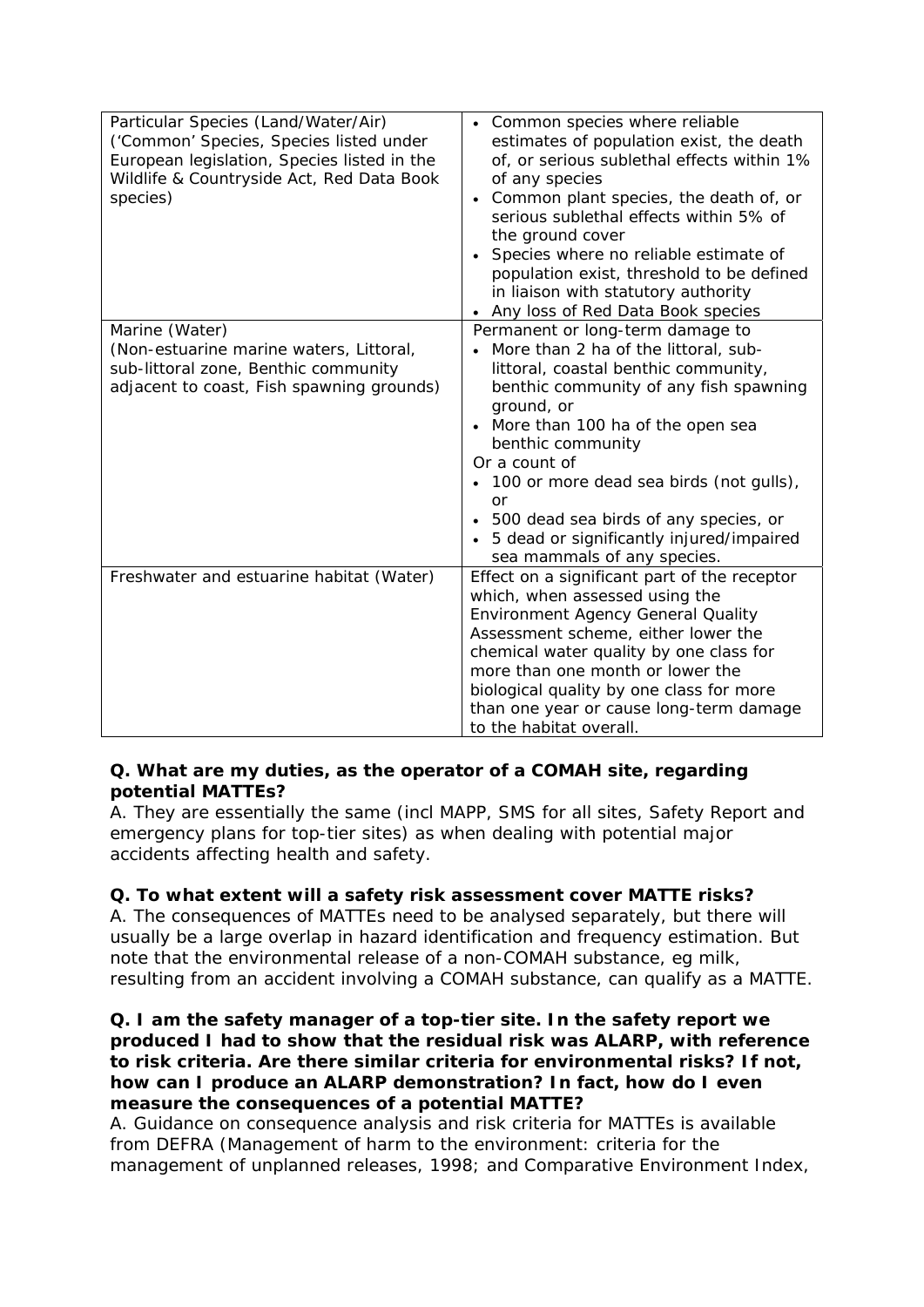| Particular Species (Land/Water/Air)<br>('Common' Species, Species listed under<br>European legislation, Species listed in the<br>Wildlife & Countryside Act, Red Data Book<br>species) | • Common species where reliable<br>estimates of population exist, the death<br>of, or serious sublethal effects within 1%<br>of any species<br>Common plant species, the death of, or<br>serious sublethal effects within 5% of<br>the ground cover<br>Species where no reliable estimate of<br>population exist, threshold to be defined<br>in liaison with statutory authority<br>Any loss of Red Data Book species   |
|----------------------------------------------------------------------------------------------------------------------------------------------------------------------------------------|-------------------------------------------------------------------------------------------------------------------------------------------------------------------------------------------------------------------------------------------------------------------------------------------------------------------------------------------------------------------------------------------------------------------------|
| Marine (Water)<br>(Non-estuarine marine waters, Littoral,<br>sub-littoral zone, Benthic community<br>adjacent to coast, Fish spawning grounds)                                         | Permanent or long-term damage to<br>More than 2 ha of the littoral, sub-<br>littoral, coastal benthic community,<br>benthic community of any fish spawning<br>ground, or<br>More than 100 ha of the open sea<br>benthic community<br>Or a count of<br>100 or more dead sea birds (not gulls),<br>or<br>500 dead sea birds of any species, or<br>5 dead or significantly injured/impaired<br>sea mammals of any species. |
| Freshwater and estuarine habitat (Water)                                                                                                                                               | Effect on a significant part of the receptor<br>which, when assessed using the<br>Environment Agency General Quality<br>Assessment scheme, either lower the<br>chemical water quality by one class for<br>more than one month or lower the<br>biological quality by one class for more<br>than one year or cause long-term damage<br>to the habitat overall.                                                            |

# **Q. What are my duties, as the operator of a COMAH site, regarding potential MATTEs?**

A. They are essentially the same (incl MAPP, SMS for all sites, Safety Report and emergency plans for top-tier sites) as when dealing with potential major accidents affecting health and safety.

# **Q. To what extent will a safety risk assessment cover MATTE risks?**

A. The consequences of MATTEs need to be analysed separately, but there will usually be a large overlap in hazard identification and frequency estimation. But note that the environmental release of a non-COMAH substance, eg milk, resulting from an accident involving a COMAH substance, can qualify as a MATTE.

#### **Q. I am the safety manager of a top-tier site. In the safety report we produced I had to show that the residual risk was ALARP, with reference to risk criteria. Are there similar criteria for environmental risks? If not, how can I produce an ALARP demonstration? In fact, how do I even measure the consequences of a potential MATTE?**

A. Guidance on consequence analysis and risk criteria for MATTEs is available from DEFRA (*Management of harm to the environment: criteria for the management of unplanned releases*, 1998; and *Comparative Environment Index*,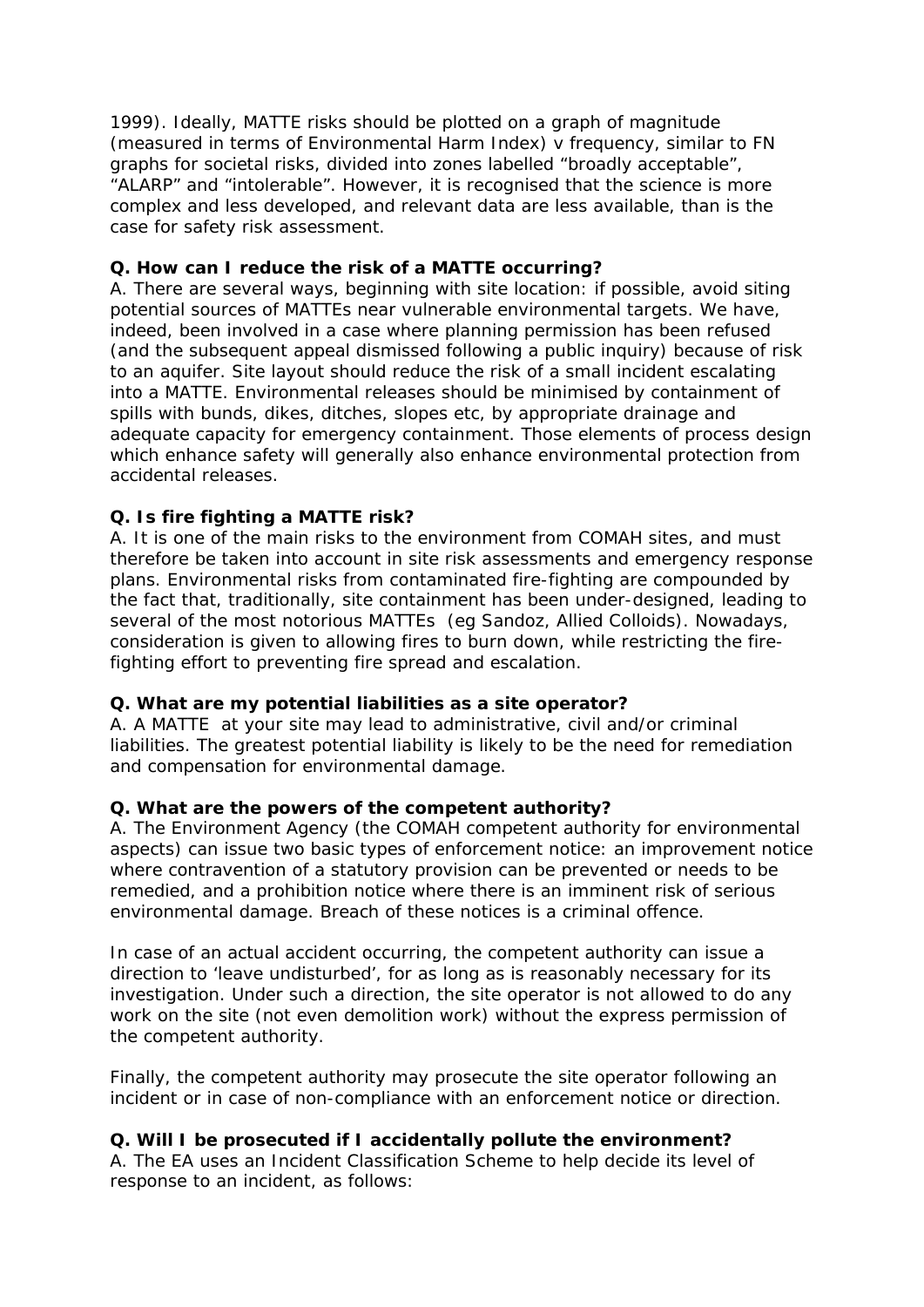1999). Ideally, MATTE risks should be plotted on a graph of magnitude (measured in terms of Environmental Harm Index) v frequency, similar to FN graphs for societal risks, divided into zones labelled "broadly acceptable", "ALARP" and "intolerable". However, it is recognised that the science is more complex and less developed, and relevant data are less available, than is the case for safety risk assessment.

# **Q. How can I reduce the risk of a MATTE occurring?**

A. There are several ways, beginning with site location: if possible, avoid siting potential sources of MATTEs near vulnerable environmental targets. We have, indeed, been involved in a case where planning permission has been refused (and the subsequent appeal dismissed following a public inquiry) because of risk to an aquifer. Site layout should reduce the risk of a small incident escalating into a MATTE. Environmental releases should be minimised by containment of spills with bunds, dikes, ditches, slopes etc, by appropriate drainage and adequate capacity for emergency containment. Those elements of process design which enhance safety will generally also enhance environmental protection from accidental releases.

# **Q. Is fire fighting a MATTE risk?**

A. It is one of the main risks to the environment from COMAH sites, and must therefore be taken into account in site risk assessments and emergency response plans. Environmental risks from contaminated fire-fighting are compounded by the fact that, traditionally, site containment has been under-designed, leading to several of the most notorious MATTEs (eg Sandoz, Allied Colloids). Nowadays, consideration is given to allowing fires to burn down, while restricting the firefighting effort to preventing fire spread and escalation.

# **Q. What are my potential liabilities as a site operator?**

A. A MATTE at your site may lead to administrative, civil and/or criminal liabilities. The greatest potential liability is likely to be the need for remediation and compensation for environmental damage.

# **Q. What are the powers of the competent authority?**

A. The Environment Agency (the COMAH competent authority for environmental aspects) can issue two basic types of enforcement notice: an improvement notice where contravention of a statutory provision can be prevented or needs to be remedied, and a prohibition notice where there is an imminent risk of serious environmental damage. Breach of these notices is a criminal offence.

In case of an actual accident occurring, the competent authority can issue a direction to 'leave undisturbed', for as long as is reasonably necessary for its investigation. Under such a direction, the site operator is not allowed to do any work on the site (not even demolition work) without the express permission of the competent authority.

Finally, the competent authority may prosecute the site operator following an incident or in case of non-compliance with an enforcement notice or direction.

# **Q. Will I be prosecuted if I accidentally pollute the environment?**

A. The EA uses an Incident Classification Scheme to help decide its level of response to an incident, as follows: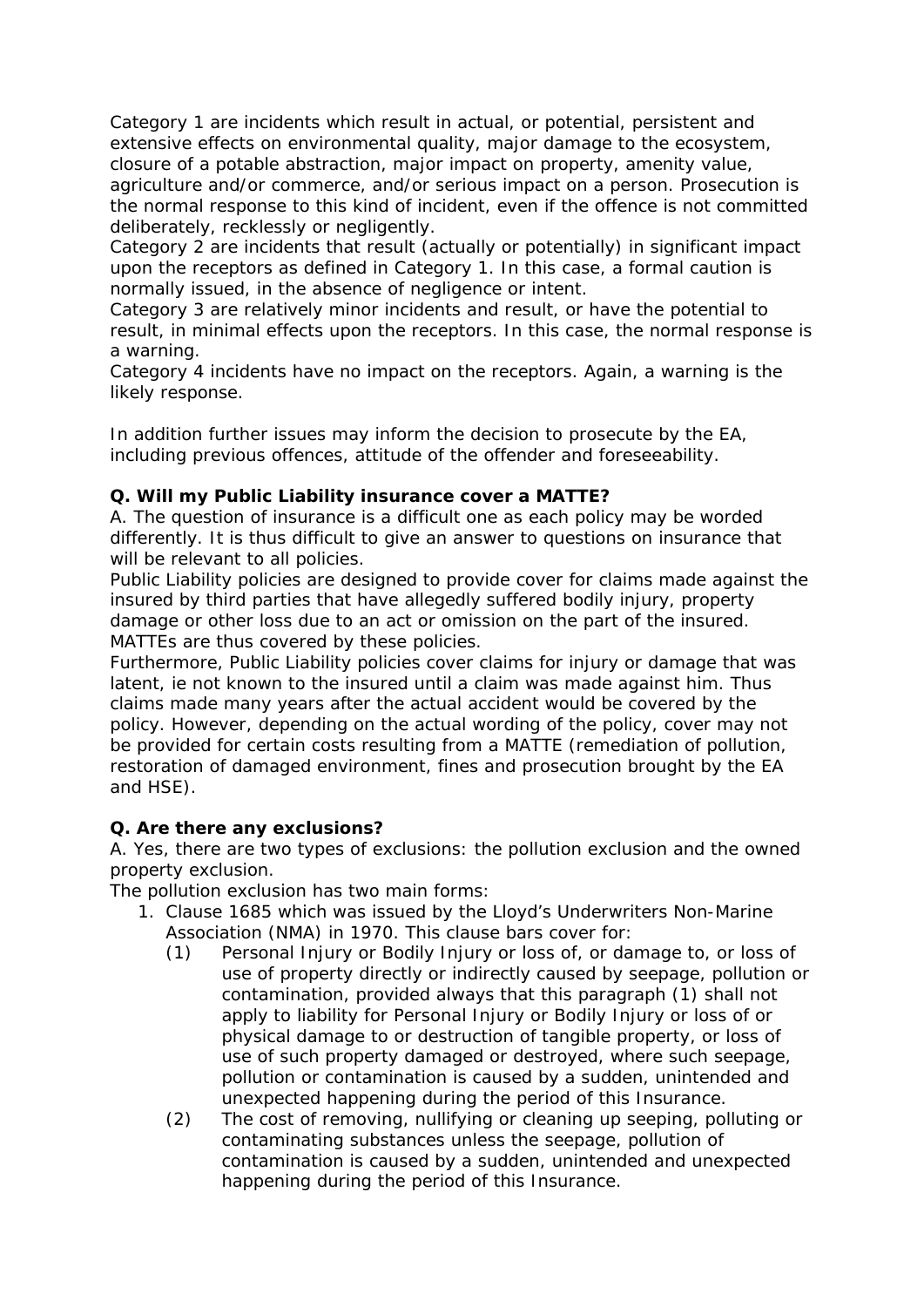Category 1 are incidents which result in actual, or potential, persistent and extensive effects on environmental quality, major damage to the ecosystem, closure of a potable abstraction, major impact on property, amenity value, agriculture and/or commerce, and/or serious impact on a person. Prosecution is the normal response to this kind of incident, even if the offence is not committed deliberately, recklessly or negligently.

Category 2 are incidents that result (actually or potentially) in significant impact upon the receptors as defined in Category 1. In this case, a formal caution is normally issued, in the absence of negligence or intent.

Category 3 are relatively minor incidents and result, or have the potential to result, in minimal effects upon the receptors. In this case, the normal response is a warning.

Category 4 incidents have no impact on the receptors. Again, a warning is the likely response.

In addition further issues may inform the decision to prosecute by the EA, including previous offences, attitude of the offender and foreseeability.

#### **Q. Will my Public Liability insurance cover a MATTE?**

A. The question of insurance is a difficult one as each policy may be worded differently. It is thus difficult to give an answer to questions on insurance that will be relevant to all policies.

Public Liability policies are designed to provide cover for claims made against the insured by third parties that have allegedly suffered bodily injury, property damage or other loss due to an act or omission on the part of the insured. MATTEs are thus covered by these policies.

Furthermore, Public Liability policies cover claims for injury or damage that was latent, ie not known to the insured until a claim was made against him. Thus claims made many years after the actual accident would be covered by the policy. However, depending on the actual wording of the policy, cover may not be provided for certain costs resulting from a MATTE (remediation of pollution, restoration of damaged environment, fines and prosecution brought by the EA and HSE).

#### **Q. Are there any exclusions?**

A. Yes, there are two types of exclusions: the pollution exclusion and the owned property exclusion.

The pollution exclusion has two main forms:

- 1. Clause 1685 which was issued by the Lloyd's Underwriters Non-Marine Association (NMA) in 1970. This clause bars cover for:
	- (1) Personal Injury or Bodily Injury or loss of, or damage to, or loss of use of property directly or indirectly caused by seepage, pollution or contamination, provided always that this paragraph (1) shall not apply to liability for Personal Injury or Bodily Injury or loss of or physical damage to or destruction of tangible property, or loss of use of such property damaged or destroyed, where such seepage, pollution or contamination is caused by a sudden, unintended and unexpected happening during the period of this Insurance.
	- (2) The cost of removing, nullifying or cleaning up seeping, polluting or contaminating substances unless the seepage, pollution of contamination is caused by a sudden, unintended and unexpected happening during the period of this Insurance.